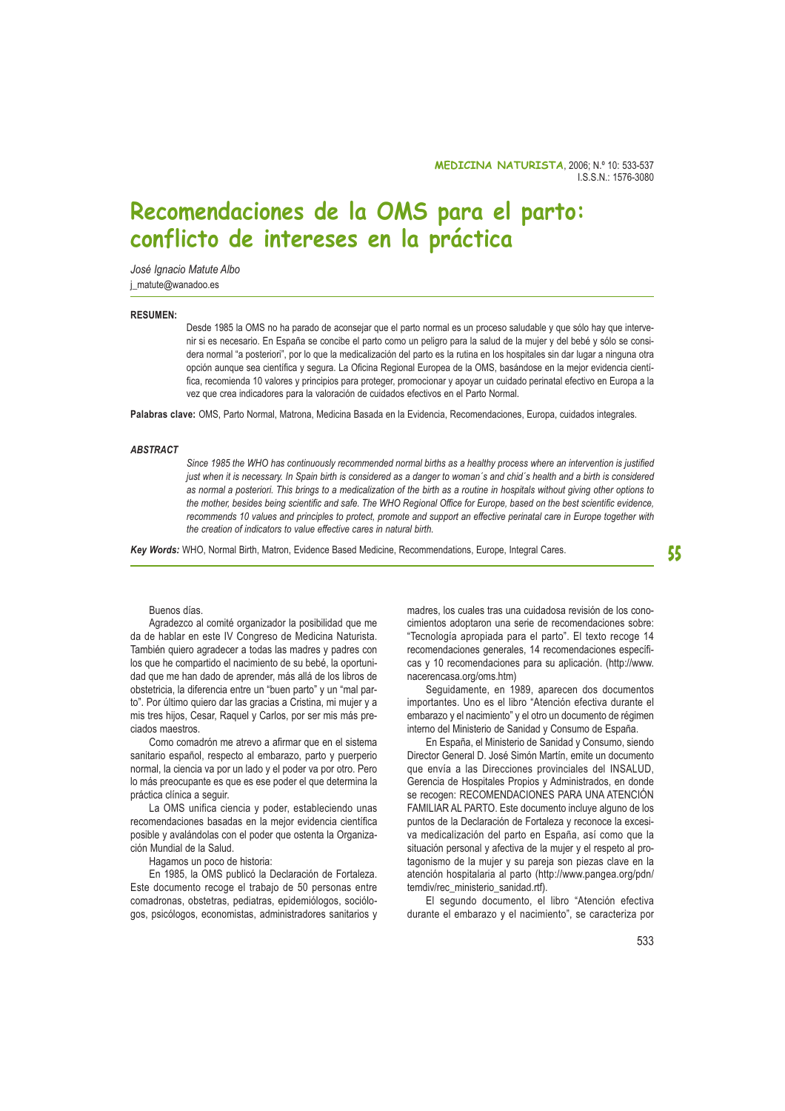# Recomendaciones de la OMS para el parto: conflicto de intereses en la práctica

José Janacio Matute Albo j\_matute@wanadoo.es

### **RESUMEN:**

Desde 1985 la OMS no ha parado de aconsejar que el parto normal es un proceso saludable y que sólo hay que intervenir si es necesario. En España se concibe el parto como un peligro para la salud de la mujer y del bebé y sólo se considera normal "a posteriori", por lo que la medicalización del parto es la rutina en los hospitales sin dar lugar a ninguna otra opción aunque sea científica y segura. La Oficina Regional Europea de la OMS, basándose en la mejor evidencia científica, recomienda 10 valores y principios para proteger, promocionar y apoyar un cuidado perinatal efectivo en Europa a la vez que crea indicadores para la valoración de cuidados efectivos en el Parto Normal.

Palabras clave: OMS, Parto Normal, Matrona, Medicina Basada en la Evidencia, Recomendaciones, Europa, cuidados integrales.

#### **ARSTRACT**

Since 1985 the WHO has continuously recommended normal births as a healthy process where an intervention is justified just when it is necessary. In Spain birth is considered as a danger to woman's and chid's health and a birth is considered as normal a posteriori. This brings to a medicalization of the birth as a routine in hospitals without giving other options to the mother, besides being scientific and safe. The WHO Regional Office for Europe, based on the best scientific evidence, recommends 10 values and principles to protect, promote and support an effective perinatal care in Europe together with the creation of indicators to value effective cares in natural birth.

Key Words: WHO, Normal Birth, Matron, Evidence Based Medicine, Recommendations, Europe, Integral Cares.

55

#### Buenos días.

Agradezco al comité organizador la posibilidad que me da de hablar en este IV Congreso de Medicina Naturista. También quiero agradecer a todas las madres y padres con los que he compartido el nacimiento de su bebé, la oportunidad que me han dado de aprender, más allá de los libros de obstetricia. la diferencia entre un "buen parto" y un "mal parto". Por último quiero dar las gracias a Cristina, mi mujer y a mis tres hijos, Cesar, Raquel y Carlos, por ser mis más preciados maestros.

Como comadrón me atrevo a afirmar que en el sistema sanitario español, respecto al embarazo, parto y puerperio normal, la ciencia va por un lado y el poder va por otro. Pero lo más preocupante es que es ese poder el que determina la práctica clínica a seguir.

La OMS unifica ciencia y poder, estableciendo unas recomendaciones basadas en la meior evidencia científica posible y avalándolas con el poder que ostenta la Organización Mundial de la Salud.

Hagamos un poco de historia:

En 1985, la OMS publicó la Declaración de Fortaleza. Este documento recoge el trabajo de 50 personas entre comadronas, obstetras, pediatras, epidemiólogos, sociólogos, psicólogos, economistas, administradores sanitarios y madres, los cuales tras una cuidadosa revisión de los conocimientos adoptaron una serie de recomendaciones sobre: "Tecnología apropiada para el parto". El texto recoge 14 recomendaciones generales, 14 recomendaciones específicas y 10 recomendaciones para su aplicación. (http://www. nacerencasa.org/oms.htm)

Sequidamente, en 1989, aparecen dos documentos importantes. Uno es el libro "Atención efectiva durante el embarazo y el nacimiento" y el otro un documento de régimen interno del Ministerio de Sanidad y Consumo de España.

En España, el Ministerio de Sanidad y Consumo, siendo Director General D. José Simón Martín, emite un documento que envía a las Direcciones provinciales del INSALUD, Gerencia de Hospitales Propios y Administrados, en donde se recogen: RECOMENDACIONES PARA UNA ATENCIÓN FAMILIAR AL PARTO. Este documento incluve alguno de los puntos de la Declaración de Fortaleza y reconoce la excesiva medicalización del parto en España, así como que la situación personal y afectiva de la mujer y el respeto al protagonismo de la mujer y su pareja son piezas clave en la atención hospitalaria al parto (http://www.pangea.org/pdn/ temdiv/rec\_ministerio\_sanidad.rtf).

El segundo documento, el libro "Atención efectiva durante el embarazo y el nacimiento", se caracteriza por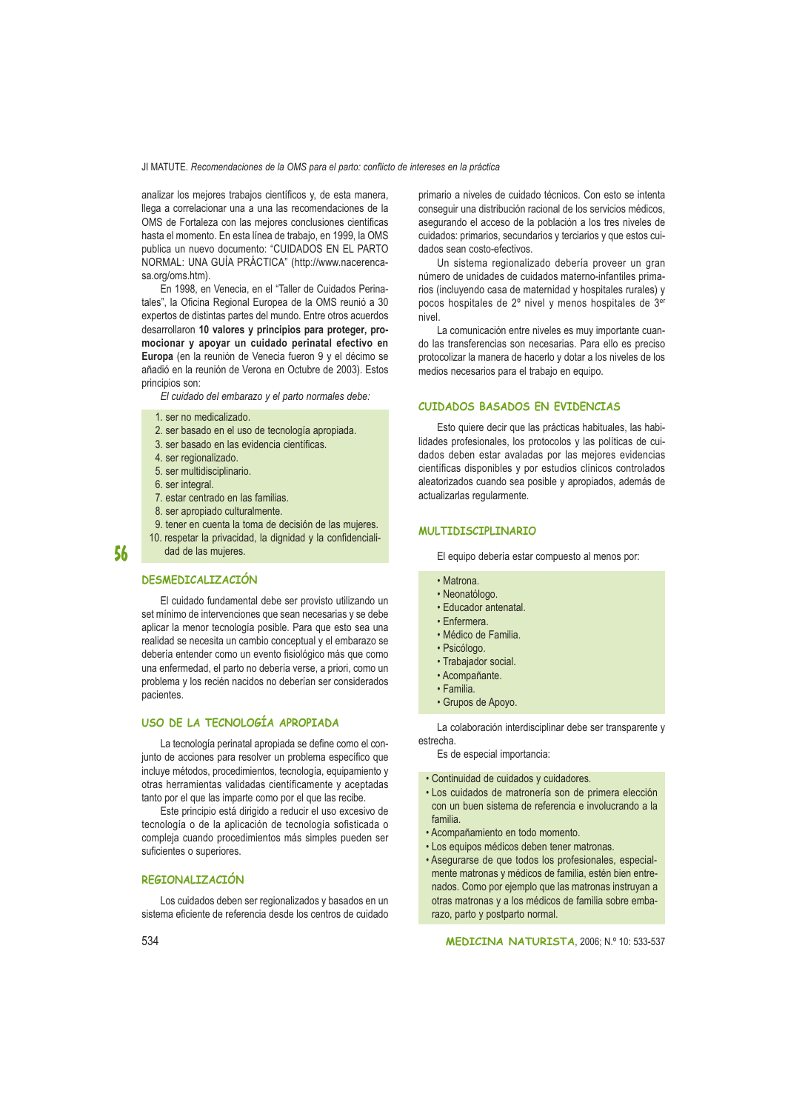## JI MATUTE. Recomendaciones de la OMS para el parto: conflicto de intereses en la práctica

analizar los mejores trabajos científicos y, de esta manera, llega a correlacionar una a una las recomendaciones de la OMS de Fortaleza con las mejores conclusiones científicas hasta el momento. En esta línea de trabajo, en 1999, la OMS publica un nuevo documento: "CUIDADOS EN EL PARTO NORMAL: UNA GUÍA PRÁCTICA" (http://www.nacerencasa.org/oms.htm).

En 1998, en Venecia, en el "Taller de Cuidados Perinatales", la Oficina Regional Europea de la OMS reunió a 30 expertos de distintas partes del mundo. Entre otros acuerdos desarrollaron 10 valores y principios para proteger, promocionar y apoyar un cuidado perinatal efectivo en Europa (en la reunión de Venecia fueron 9 y el décimo se añadió en la reunión de Verona en Octubre de 2003). Estos principios son:

El cuidado del embarazo y el parto normales debe:

#### 1 ser no medicalizado

- 2. ser basado en el uso de tecnología apropiada.
- 3. ser basado en las evidencia científicas.
- 4. ser regionalizado.
- 5. ser multidisciplinario.
- 6. ser integral.

56

- 7. estar centrado en las familias.
- 8. ser apropiado culturalmente.
- 9. tener en cuenta la toma de decisión de las mujeres.
- 10. respetar la privacidad, la dignidad y la confidencialidad de las muieres.

# **DESMEDICALIZACIÓN**

El cuidado fundamental debe ser provisto utilizando un set mínimo de intervenciones que sean necesarias y se debe aplicar la menor tecnología posible. Para que esto sea una realidad se necesita un cambio conceptual y el embarazo se debería entender como un evento fisiológico más que como una enfermedad, el parto no debería verse, a priori, como un problema y los recién nacidos no deberían ser considerados pacientes.

# USO DE LA TECNOLOGÍA APROPIADA

La tecnología perinatal apropiada se define como el conjunto de acciones para resolver un problema específico que incluye métodos, procedimientos, tecnología, equipamiento y otras herramientas validadas científicamente y aceptadas tanto por el que las imparte como por el que las recibe.

Este principio está dirigido a reducir el uso excesivo de tecnología o de la aplicación de tecnología sofisticada o compleja cuando procedimientos más simples pueden ser suficientes o superiores.

#### **REGIONALIZACIÓN**

Los cuidados deben ser regionalizados y basados en un sistema eficiente de referencia desde los centros de cuidado primario a niveles de cuidado técnicos. Con esto se intenta conseguir una distribución racional de los servicios médicos, asegurando el acceso de la población a los tres niveles de cuidados: primarios, secundarios y terciarios y que estos cuidados sean costo-efectivos

Un sistema regionalizado debería proveer un gran número de unidades de cuidados materno-infantiles primarios (incluyendo casa de maternidad y hospitales rurales) y pocos hospitales de 2º nivel y menos hospitales de 3<sup>er</sup> nivel

La comunicación entre niveles es muy importante cuando las transferencias son necesarias. Para ello es preciso protocolizar la manera de hacerlo y dotar a los niveles de los medios necesarios para el trabajo en equipo.

## CUIDADOS BASADOS EN EVIDENCIAS

Esto quiere decir que las prácticas habituales, las habilidades profesionales, los protocolos y las políticas de cuidados deben estar avaladas por las mejores evidencias científicas disponibles y por estudios clínicos controlados aleatorizados cuando sea posible y apropiados, además de actualizarlas regularmente.

## **MULTIDISCIPLINARIO**

El equipo debería estar compuesto al menos por:

- · Matrona.
- · Neonatólogo.
- · Educador antenatal.
- Enfermera
- · Médico de Familia.
- · Psicólogo.
- · Trabajador social.
- · Acompañante.
- $\cdot$  Familia.
- · Grupos de Apoyo.

La colaboración interdisciplinar debe ser transparente y estrecha.

Es de especial importancia:

- Continuidad de cuidados y cuidadores.
- · Los cuidados de matronería son de primera elección con un buen sistema de referencia e involucrando a la familia
- · Acompañamiento en todo momento.
- · Los equipos médicos deben tener matronas.
- · Asegurarse de que todos los profesionales, especialmente matronas y médicos de familia, estén bien entrenados. Como por ejemplo que las matronas instruyan a otras matronas y a los médicos de familia sobre embarazo, parto y postparto normal.

MEDICINA NATURISTA, 2006; N.º 10: 533-537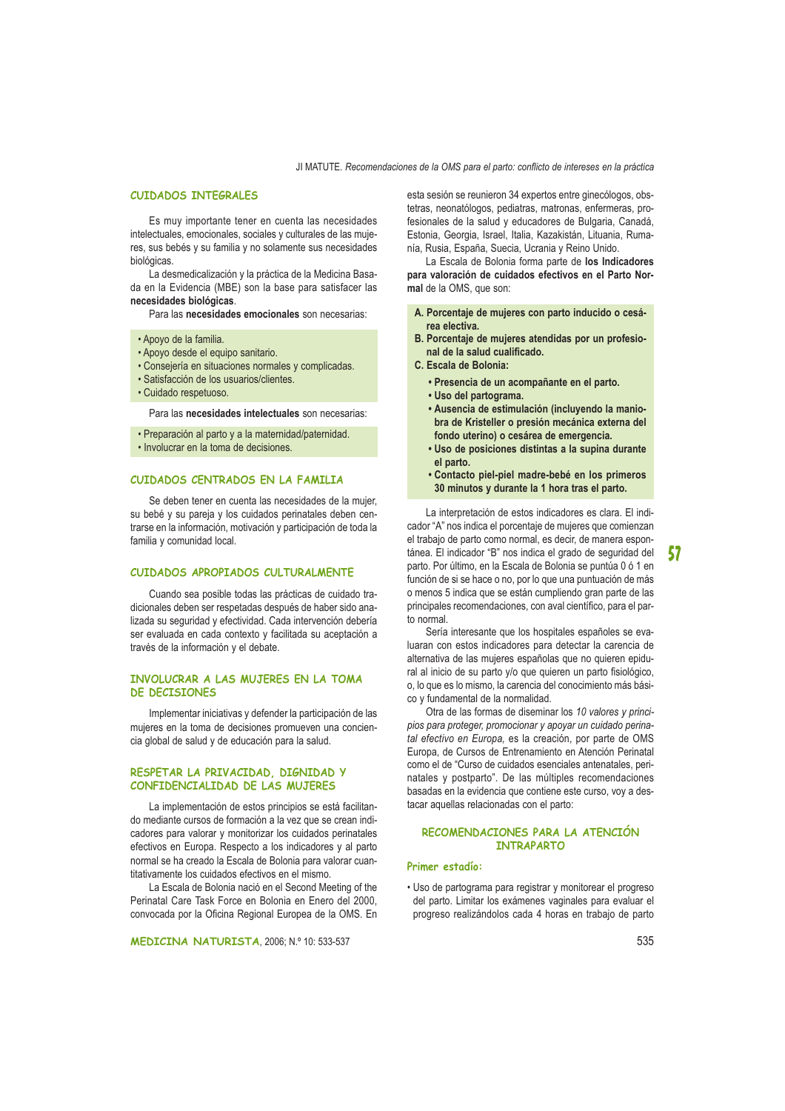JI MATUTE. Recomendaciones de la OMS para el parto: conflicto de intereses en la práctica

### **CUIDADOS INTEGRALES**

Es muy importante tener en cuenta las necesidades intelectuales, emocionales, sociales y culturales de las mujeres, sus bebés y su familia y no solamente sus necesidades biológicas.

La desmedicalización y la práctica de la Medicina Basada en la Evidencia (MBE) son la base para satisfacer las necesidades biológicas.

Para las necesidades emocionales son necesarias:

· Apoyo de la familia.

- · Apoyo desde el equipo sanitario.
- · Consejería en situaciones normales y complicadas.
- · Satisfacción de los usuarios/clientes.
- · Cuidado respetuoso

Para las necesidades intelectuales son necesarias:

- · Preparación al parto y a la maternidad/paternidad.
- · Involucrar en la toma de decisiones.

#### CUIDADOS CENTRADOS EN LA FAMILIA

Se deben tener en cuenta las necesidades de la mujer. su bebé y su pareja y los cuidados perinatales deben centrarse en la información, motivación y participación de toda la familia y comunidad local.

#### CUIDADOS APROPIADOS CULTURALMENTE

Cuando sea posible todas las prácticas de cuidado tradicionales deben ser respetadas después de haber sido analizada su seguridad y efectividad. Cada intervención debería ser evaluada en cada contexto y facilitada su aceptación a través de la información y el debate.

## INVOLUCRAR A LAS MUJERES EN LA TOMA DE DECISIONES

Implementar iniciativas y defender la participación de las mujeres en la toma de decisiones promueven una conciencia global de salud y de educación para la salud.

## RESPETAR LA PRIVACIDAD, DIGNIDAD Y CONFIDENCIALIDAD DE LAS MUJERES

La implementación de estos principios se está facilitando mediante cursos de formación a la vez que se crean indicadores para valorar y monitorizar los cuidados perinatales efectivos en Europa. Respecto a los indicadores y al parto normal se ha creado la Escala de Bolonia para valorar cuantitativamente los cuidados efectivos en el mismo.

La Escala de Bolonia nació en el Second Meeting of the Perinatal Care Task Force en Bolonia en Enero del 2000. convocada por la Oficina Regional Europea de la OMS. En esta sesión se reunieron 34 expertos entre ginecólogos, obstetras, neonatólogos, pediatras, matronas, enfermeras, profesionales de la salud y educadores de Bulgaria, Canadá, Estonia, Georgia, Israel, Italia, Kazakistán, Lituania, Rumanía, Rusia, España, Suecia, Ucrania y Reino Unido.

La Escala de Bolonia forma parte de los Indicadores para valoración de cuidados efectivos en el Parto Normal de la OMS, que son:

- A. Porcentaje de mujeres con parto inducido o cesárea electiva.
- B. Porcentaje de mujeres atendidas por un profesional de la salud cualificado.
- C. Escala de Bolonia:
	- · Presencia de un acompañante en el parto.
	- · Uso del partograma.
	- · Ausencia de estimulación (incluyendo la maniobra de Kristeller o presión mecánica externa del fondo uterino) o cesárea de emergencia.
	- · Uso de posiciones distintas a la supina durante el parto.
	- · Contacto piel-piel madre-bebé en los primeros 30 minutos y durante la 1 hora tras el parto.

La interpretación de estos indicadores es clara. El indicador "A" nos indica el porcentaje de mujeres que comienzan el trabajo de parto como normal, es decir, de manera espontánea. El indicador "B" nos indica el grado de seguridad del parto. Por último, en la Escala de Bolonia se puntúa 0 ó 1 en función de si se hace o no, por lo que una puntuación de más o menos 5 indica que se están cumpliendo gran parte de las principales recomendaciones, con aval científico, para el parto normal.

Sería interesante que los hospitales españoles se evaluaran con estos indicadores para detectar la carencia de alternativa de las mujeres españolas que no quieren epidural al inicio de su parto y/o que quieren un parto fisiológico, o, lo que es lo mismo, la carencia del conocimiento más básico y fundamental de la normalidad.

Otra de las formas de diseminar los 10 valores y principios para proteger, promocionar y apoyar un cuidado perinatal efectivo en Europa, es la creación, por parte de OMS Europa, de Cursos de Entrenamiento en Atención Perinatal como el de "Curso de cuidados esenciales antenatales. perinatales y postparto". De las múltiples recomendaciones basadas en la evidencia que contiene este curso, voy a destacar aquellas relacionadas con el parto:

## RECOMENDACIONES PARA LA ATENCIÓN **INTRAPARTO**

## Primer estadío:

· Uso de partograma para registrar y monitorear el progreso del parto. Limitar los exámenes vaginales para evaluar el progreso realizándolos cada 4 horas en trabajo de parto 57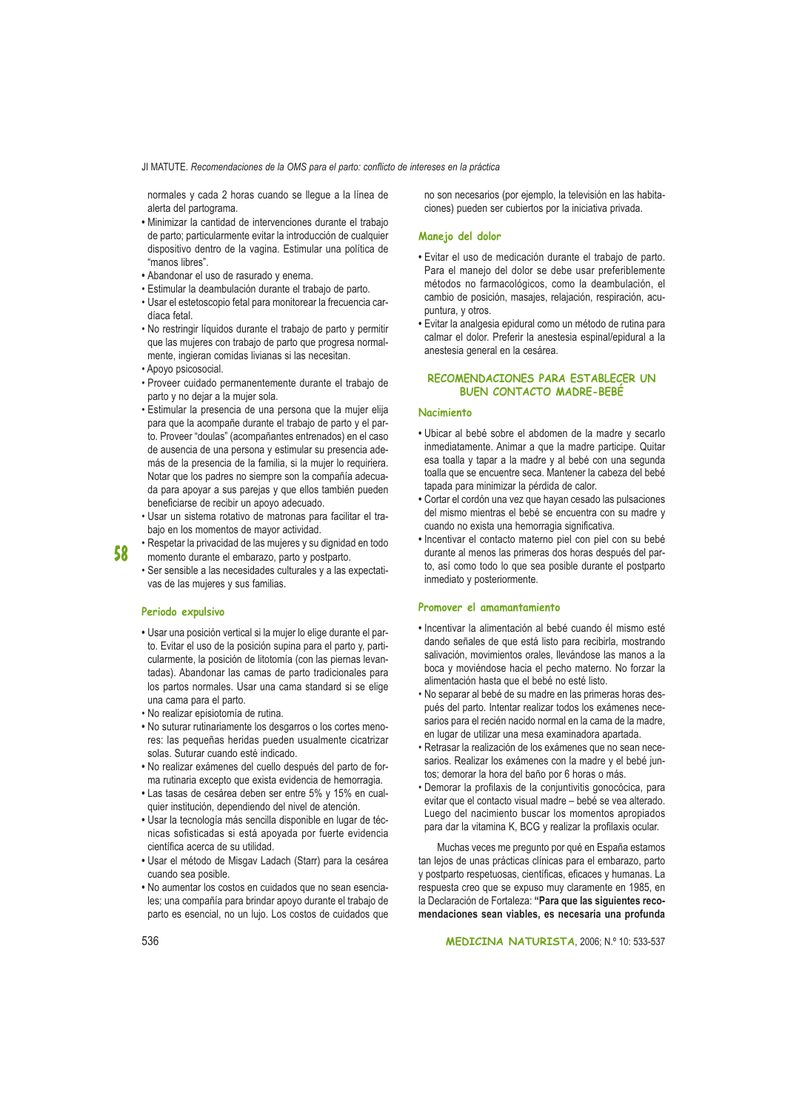JI MATUTE. Recomendaciones de la OMS para el parto: conflicto de intereses en la práctica

normales y cada 2 horas cuando se llegue a la línea de alerta del partograma.

- · Minimizar la cantidad de intervenciones durante el trabajo de parto; particularmente evitar la introducción de cualquier dispositivo dentro de la vagina. Estimular una política de "manos libres".
- · Abandonar el uso de rasurado y enema.
- · Estimular la deambulación durante el trabajo de parto.
- · Usar el estetoscopio fetal para monitorear la frecuencia cardíaca fetal
- . No restringir líquidos durante el trabajo de parto y permitir que las mujeres con trabajo de parto que progresa normalmente, ingieran comidas livianas si las necesitan.
- · Apoyo psicosocial.
- · Proveer cuidado permanentemente durante el trabajo de parto y no dejar a la mujer sola.
- · Estimular la presencia de una persona que la mujer elija para que la acompañe durante el trabajo de parto y el parto. Proveer "doulas" (acompañantes entrenados) en el caso de ausencia de una persona y estimular su presencia además de la presencia de la familia, si la mujer lo requiriera. Notar que los padres no siempre son la compañía adecuada para apoyar a sus parejas y que ellos también pueden beneficiarse de recibir un apoyo adecuado.
- · Usar un sistema rotativo de matronas para facilitar el trabaio en los momentos de mayor actividad.
- Respetar la privacidad de las muieres y su dignidad en todo 58 momento durante el embarazo, parto y postparto.
	- · Ser sensible a las necesidades culturales y a las expectativas de las mujeres y sus familias.

### Periodo expulsivo

- · Usar una posición vertical si la mujer lo elige durante el parto. Evitar el uso de la posición supina para el parto y, particularmente. la posición de litotomía (con las piernas levantadas). Abandonar las camas de parto tradicionales para los partos normales. Usar una cama standard si se elige una cama para el parto.
- · No realizar episiotomía de rutina.
- . No suturar rutinariamente los desgarros o los cortes menores: las pequeñas heridas pueden usualmente cicatrizar solas. Suturar cuando esté indicado.
- · No realizar exámenes del cuello después del parto de forma rutinaria excepto que exista evidencia de hemorragia.
- · Las tasas de cesárea deben ser entre 5% y 15% en cualquier institución, dependiendo del nivel de atención.
- · Usar la tecnología más sencilla disponible en lugar de técnicas sofisticadas si está apoyada por fuerte evidencia científica acerca de su utilidad.
- · Usar el método de Misgav Ladach (Starr) para la cesárea cuando sea posible.
- · No aumentar los costos en cuidados que no sean esenciales: una compañía para brindar apovo durante el trabajo de parto es esencial, no un lujo. Los costos de cuidados que

no son necesarios (por ejemplo, la televisión en las habitaciones) pueden ser cubiertos por la iniciativa privada.

### Manejo del dolor

- · Evitar el uso de medicación durante el trabajo de parto. Para el manejo del dolor se debe usar preferiblemente métodos no farmacológicos, como la deambulación, el cambio de posición, masajes, relajación, respiración, acupuntura, y otros.
- · Evitar la analgesia epidural como un método de rutina para calmar el dolor. Preferir la anestesia espinal/epidural a la anestesia general en la cesárea.

## RECOMENDACIONES PARA ESTABLECER UN **BUEN CONTACTO MADRE-BEBE**

## **Nacimiento**

- · Ubicar al bebé sobre el abdomen de la madre y secarlo inmediatamente. Animar a que la madre participe. Quitar esa toalla y tapar a la madre y al bebé con una segunda toalla que se encuentre seca. Mantener la cabeza del bebé tapada para minimizar la pérdida de calor.
- · Cortar el cordón una vez que hayan cesado las pulsaciones del mismo mientras el bebé se encuentra con su madre y cuando no exista una hemorragia significativa.
- · Incentivar el contacto materno piel con piel con su bebé durante al menos las primeras dos horas después del parto, así como todo lo que sea posible durante el postparto inmediato y posteriormente.

#### Promover el amamantamiento

- · Incentivar la alimentación al bebé cuando él mismo esté dando señales de que está listo para recibirla, mostrando salivación, movimientos orales, llevándose las manos a la boca y moviéndose hacia el pecho materno. No forzar la alimentación hasta que el bebé no esté listo.
- · No separar al bebé de su madre en las primeras horas después del parto. Intentar realizar todos los exámenes necesarios para el recién nacido normal en la cama de la madre, en lugar de utilizar una mesa examinadora apartada.
- · Retrasar la realización de los exámenes que no sean necesarios. Realizar los exámenes con la madre y el bebé juntos: demorar la hora del baño por 6 horas o más.
- · Demorar la profilaxis de la conjuntivitis gonocócica, para evitar que el contacto visual madre – bebé se vea alterado. Luego del nacimiento buscar los momentos apropiados para dar la vitamina K, BCG y realizar la profilaxis ocular.

Muchas veces me pregunto por qué en España estamos tan lejos de unas prácticas clínicas para el embarazo, parto y postparto respetuosas, científicas, eficaces y humanas. La respuesta creo que se expuso muy claramente en 1985, en la Declaración de Fortaleza: "Para que las siguientes recomendaciones sean viables, es necesaria una profunda